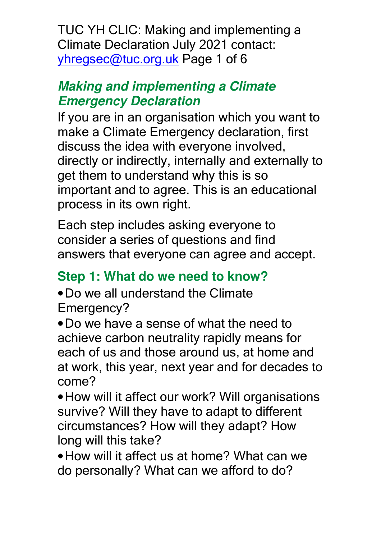TUC YH CLIC: Making and implementing a Climate Declaration July 2021 contact: yhregsec@tuc.org.uk Page 1 of 6

#### **Making and implementing a Climate Emergency Declaration**

If you are in an organisation which you want to make a Climate Emergency declaration, first discuss the idea with everyone involved, directly or indirectly, internally and externally to get them to understand why this is so important and to agree. This is an educational process in its own right.

Each step includes asking everyone to consider a series of questions and find answers that everyone can agree and accept.

## **Step 1: What do we need to know?**

•Do we all understand the Climate Emergency?

•Do we have a sense of what the need to achieve carbon neutrality rapidly means for each of us and those around us, at home and at work, this year, next year and for decades to come?

•How will it affect our work? Will organisations survive? Will they have to adapt to different circumstances? How will they adapt? How long will this take?

•How will it affect us at home? What can we do personally? What can we afford to do?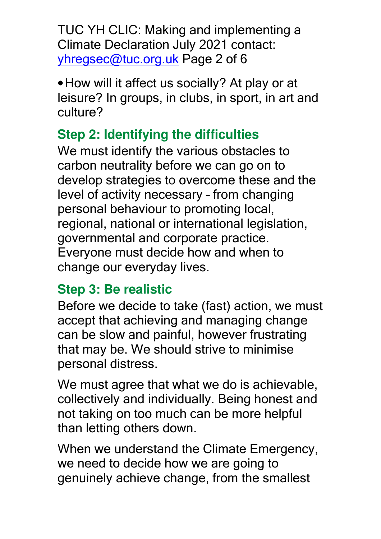TUC YH CLIC: Making and implementing a Climate Declaration July 2021 contact: yhregsec@tuc.org.uk Page 2 of 6

•How will it affect us socially? At play or at leisure? In groups, in clubs, in sport, in art and culture?

# **Step 2: Identifying the difficulties**

We must identify the various obstacles to carbon neutrality before we can go on to develop strategies to overcome these and the level of activity necessary – from changing personal behaviour to promoting local, regional, national or international legislation, governmental and corporate practice. Everyone must decide how and when to change our everyday lives.

# **Step 3: Be realistic**

Before we decide to take (fast) action, we must accept that achieving and managing change can be slow and painful, however frustrating that may be. We should strive to minimise personal distress.

We must agree that what we do is achievable, collectively and individually. Being honest and not taking on too much can be more helpful than letting others down.

When we understand the Climate Emergency, we need to decide how we are going to genuinely achieve change, from the smallest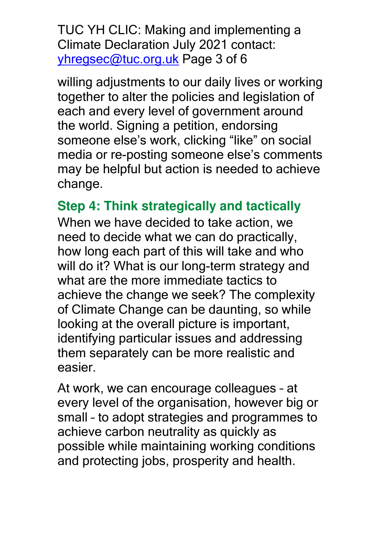TUC YH CLIC: Making and implementing a Climate Declaration July 2021 contact: yhregsec@tuc.org.uk Page 3 of 6

willing adjustments to our daily lives or working together to alter the policies and legislation of each and every level of government around the world. Signing a petition, endorsing someone else's work, clicking "like" on social media or re-posting someone else's comments may be helpful but action is needed to achieve change.

**Step 4: Think strategically and tactically** 

When we have decided to take action, we need to decide what we can do practically, how long each part of this will take and who will do it? What is our long-term strategy and what are the more immediate tactics to achieve the change we seek? The complexity of Climate Change can be daunting, so while looking at the overall picture is important, identifying particular issues and addressing them separately can be more realistic and easier.

At work, we can encourage colleagues – at every level of the organisation, however big or small – to adopt strategies and programmes to achieve carbon neutrality as quickly as possible while maintaining working conditions and protecting jobs, prosperity and health.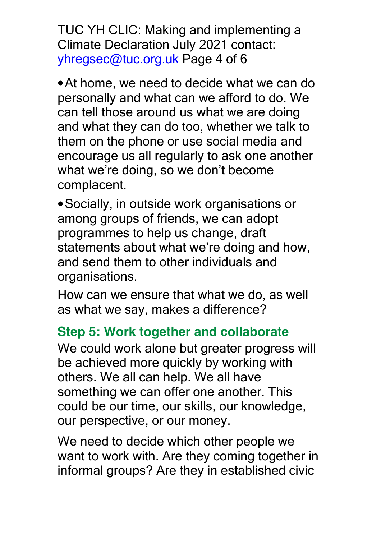TUC YH CLIC: Making and implementing a Climate Declaration July 2021 contact: yhregsec@tuc.org.uk Page 4 of 6

•At home, we need to decide what we can do personally and what can we afford to do. We can tell those around us what we are doing and what they can do too, whether we talk to them on the phone or use social media and encourage us all regularly to ask one another what we're doing, so we don't become complacent.

•Socially, in outside work organisations or among groups of friends, we can adopt programmes to help us change, draft statements about what we're doing and how, and send them to other individuals and organisations.

How can we ensure that what we do, as well as what we say, makes a difference?

## **Step 5: Work together and collaborate**

We could work alone but greater progress will be achieved more quickly by working with others. We all can help. We all have something we can offer one another. This could be our time, our skills, our knowledge, our perspective, or our money.

We need to decide which other people we want to work with. Are they coming together in informal groups? Are they in established civic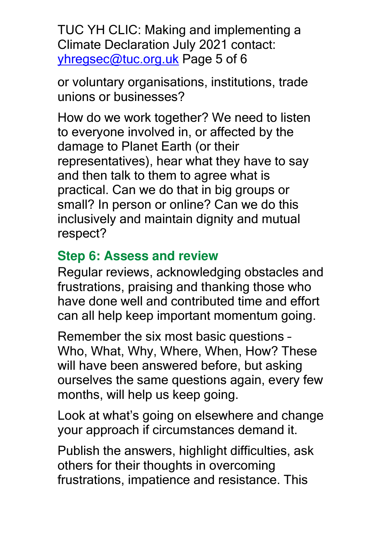TUC YH CLIC: Making and implementing a Climate Declaration July 2021 contact: yhregsec@tuc.org.uk Page 5 of 6

or voluntary organisations, institutions, trade unions or businesses?

How do we work together? We need to listen to everyone involved in, or affected by the damage to Planet Earth (or their representatives), hear what they have to say and then talk to them to agree what is practical. Can we do that in big groups or small? In person or online? Can we do this inclusively and maintain dignity and mutual respect?

## **Step 6: Assess and review**

Regular reviews, acknowledging obstacles and frustrations, praising and thanking those who have done well and contributed time and effort can all help keep important momentum going.

Remember the six most basic questions – Who, What, Why, Where, When, How? These will have been answered before, but asking ourselves the same questions again, every few months, will help us keep going.

Look at what's going on elsewhere and change your approach if circumstances demand it.

Publish the answers, highlight difficulties, ask others for their thoughts in overcoming frustrations, impatience and resistance. This